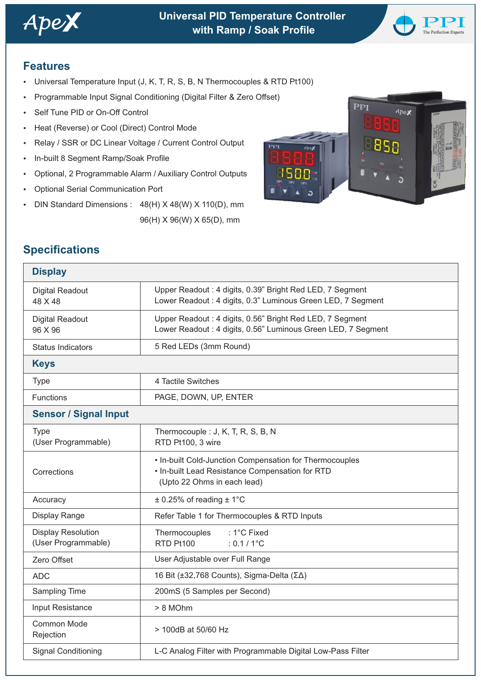

# **Universal PID Temperature Controller** *Ape* **with Ramp / Soak Profile**



## **Features**

- Universal Temperature Input (J, K, T, R, S, B, N Thermocouples & RTD Pt100)
- Programmable Input Signal Conditioning (Digital Filter & Zero Offset)
- Self Tune PID or On-Off Control
- Heat (Reverse) or Cool (Direct) Control Mode
- Relay / SSR or DC Linear Voltage / Current Control Output
- In-built 8 Segment Ramp/Soak Profile
- Optional, 2 Programmable Alarm / Auxiliary Control Outputs
- **Optional Serial Communication Port**
- DIN Standard Dimensions : 48(H) X 48(W) X 110(D), mm

96(H) X 96(W) X 65(D), mm



# **Specifications**

| <b>Display</b>                                   |                                                                                                                                           |  |  |  |
|--------------------------------------------------|-------------------------------------------------------------------------------------------------------------------------------------------|--|--|--|
| <b>Digital Readout</b><br>48 X 48                | Upper Readout: 4 digits, 0.39" Bright Red LED, 7 Segment<br>Lower Readout: 4 digits, 0.3" Luminous Green LED, 7 Segment                   |  |  |  |
| <b>Digital Readout</b><br>96 X 96                | Upper Readout: 4 digits, 0.56" Bright Red LED, 7 Segment<br>Lower Readout : 4 digits, 0.56" Luminous Green LED, 7 Segment                 |  |  |  |
| <b>Status Indicators</b>                         | 5 Red LEDs (3mm Round)                                                                                                                    |  |  |  |
| <b>Keys</b>                                      |                                                                                                                                           |  |  |  |
| <b>Type</b>                                      | 4 Tactile Switches                                                                                                                        |  |  |  |
| Functions                                        | PAGE, DOWN, UP, ENTER                                                                                                                     |  |  |  |
| <b>Sensor / Signal Input</b>                     |                                                                                                                                           |  |  |  |
| <b>Type</b><br>(User Programmable)               | Thermocouple : J, K, T, R, S, B, N<br>RTD Pt100, 3 wire                                                                                   |  |  |  |
| Corrections                                      | • In-built Cold-Junction Compensation for Thermocouples<br>• In-built Lead Resistance Compensation for RTD<br>(Upto 22 Ohms in each lead) |  |  |  |
| Accuracy                                         | $\pm$ 0.25% of reading $\pm$ 1°C                                                                                                          |  |  |  |
| Display Range                                    | Refer Table 1 for Thermocouples & RTD Inputs                                                                                              |  |  |  |
| <b>Display Resolution</b><br>(User Programmable) | Thermocouples<br>: 1°C Fixed<br>RTD Pt100<br>$: 0.1 / 1^{\circ}C$                                                                         |  |  |  |
| Zero Offset                                      | User Adjustable over Full Range                                                                                                           |  |  |  |
| <b>ADC</b>                                       | 16 Bit (±32,768 Counts), Sigma-Delta (ΣΔ)                                                                                                 |  |  |  |
| Sampling Time                                    | 200mS (5 Samples per Second)                                                                                                              |  |  |  |
| Input Resistance                                 | > 8 MOhm                                                                                                                                  |  |  |  |
| <b>Common Mode</b><br>Rejection                  | > 100dB at 50/60 Hz                                                                                                                       |  |  |  |
| <b>Signal Conditioning</b>                       | L-C Analog Filter with Programmable Digital Low-Pass Filter                                                                               |  |  |  |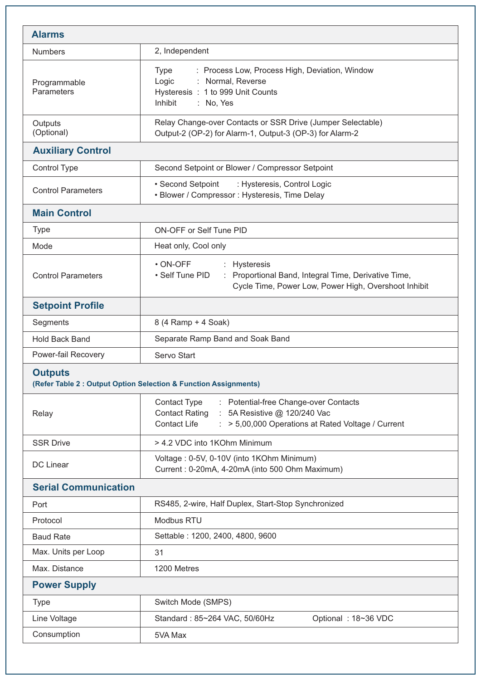| <b>Alarms</b>                                                                      |                                                                                                                                                                                                  |  |  |  |
|------------------------------------------------------------------------------------|--------------------------------------------------------------------------------------------------------------------------------------------------------------------------------------------------|--|--|--|
| <b>Numbers</b>                                                                     | 2, Independent                                                                                                                                                                                   |  |  |  |
| Programmable<br>Parameters                                                         | : Process Low, Process High, Deviation, Window<br>Type<br>: Normal, Reverse<br>Logic<br>Hysteresis : 1 to 999 Unit Counts<br>Inhibit<br>: No, Yes                                                |  |  |  |
| Outputs<br>(Optional)                                                              | Relay Change-over Contacts or SSR Drive (Jumper Selectable)<br>Output-2 (OP-2) for Alarm-1, Output-3 (OP-3) for Alarm-2                                                                          |  |  |  |
| <b>Auxiliary Control</b>                                                           |                                                                                                                                                                                                  |  |  |  |
| Control Type                                                                       | Second Setpoint or Blower / Compressor Setpoint                                                                                                                                                  |  |  |  |
| <b>Control Parameters</b>                                                          | • Second Setpoint<br>: Hysteresis, Control Logic<br>• Blower / Compressor : Hysteresis, Time Delay                                                                                               |  |  |  |
| <b>Main Control</b>                                                                |                                                                                                                                                                                                  |  |  |  |
| <b>Type</b>                                                                        | <b>ON-OFF or Self Tune PID</b>                                                                                                                                                                   |  |  |  |
| Mode                                                                               | Heat only, Cool only                                                                                                                                                                             |  |  |  |
| <b>Control Parameters</b>                                                          | $\cdot$ ON-OFF<br>: Hysteresis<br>• Self Tune PID<br>: Proportional Band, Integral Time, Derivative Time,<br>Cycle Time, Power Low, Power High, Overshoot Inhibit                                |  |  |  |
| <b>Setpoint Profile</b>                                                            |                                                                                                                                                                                                  |  |  |  |
| Segments                                                                           | 8 (4 Ramp + 4 Soak)                                                                                                                                                                              |  |  |  |
| <b>Hold Back Band</b>                                                              | Separate Ramp Band and Soak Band                                                                                                                                                                 |  |  |  |
| Power-fail Recovery                                                                | Servo Start                                                                                                                                                                                      |  |  |  |
| <b>Outputs</b><br>(Refer Table 2 : Output Option Selection & Function Assignments) |                                                                                                                                                                                                  |  |  |  |
| Relay                                                                              | <b>Contact Type</b><br>: Potential-free Change-over Contacts<br><b>Contact Rating</b><br>: 5A Resistive @ 120/240 Vac<br><b>Contact Life</b><br>> 5,00,000 Operations at Rated Voltage / Current |  |  |  |
| <b>SSR Drive</b>                                                                   | > 4.2 VDC into 1KOhm Minimum                                                                                                                                                                     |  |  |  |
| DC Linear                                                                          | Voltage: 0-5V, 0-10V (into 1KOhm Minimum)<br>Current: 0-20mA, 4-20mA (into 500 Ohm Maximum)                                                                                                      |  |  |  |
| <b>Serial Communication</b>                                                        |                                                                                                                                                                                                  |  |  |  |
| Port                                                                               | RS485, 2-wire, Half Duplex, Start-Stop Synchronized                                                                                                                                              |  |  |  |
| Protocol                                                                           | Modbus RTU                                                                                                                                                                                       |  |  |  |
| <b>Baud Rate</b>                                                                   | Settable: 1200, 2400, 4800, 9600                                                                                                                                                                 |  |  |  |
| Max. Units per Loop                                                                | 31                                                                                                                                                                                               |  |  |  |
| Max. Distance                                                                      | 1200 Metres                                                                                                                                                                                      |  |  |  |
| <b>Power Supply</b>                                                                |                                                                                                                                                                                                  |  |  |  |
| <b>Type</b>                                                                        | Switch Mode (SMPS)                                                                                                                                                                               |  |  |  |
| Line Voltage                                                                       | Optional: 18~36 VDC<br>Standard: 85~264 VAC, 50/60Hz                                                                                                                                             |  |  |  |
| Consumption                                                                        | 5VA Max                                                                                                                                                                                          |  |  |  |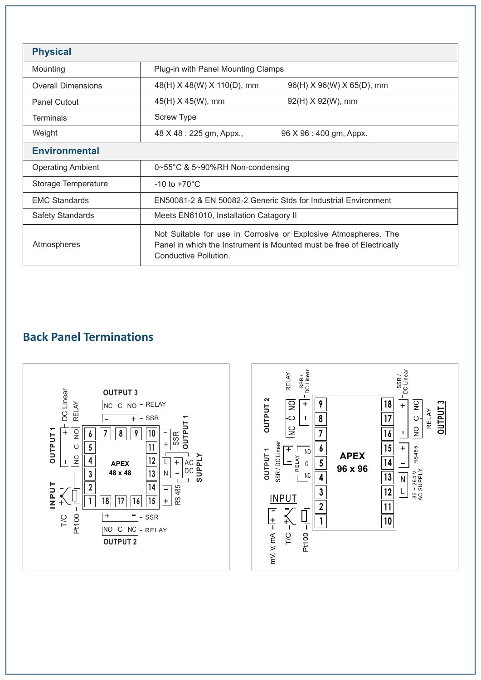| <b>Physical</b>           |                                                                                                                                                                   |  |  |  |
|---------------------------|-------------------------------------------------------------------------------------------------------------------------------------------------------------------|--|--|--|
| Mounting                  | Plug-in with Panel Mounting Clamps                                                                                                                                |  |  |  |
| <b>Overall Dimensions</b> | 48(H) X 48(W) X 110(D), mm<br>96(H) X 96(W) X 65(D), mm                                                                                                           |  |  |  |
| <b>Panel Cutout</b>       | 45(H) X 45(W), mm<br>$92(H) \times 92(W)$ , mm                                                                                                                    |  |  |  |
| <b>Terminals</b>          | <b>Screw Type</b>                                                                                                                                                 |  |  |  |
| Weight                    | 48 X 48 : 225 gm, Appx.,<br>96 X 96 : 400 gm, Appx.                                                                                                               |  |  |  |
| <b>Environmental</b>      |                                                                                                                                                                   |  |  |  |
| <b>Operating Ambient</b>  | $0\nthickspace$ -55°C & 5~90%RH Non-condensing                                                                                                                    |  |  |  |
| Storage Temperature       | $-10$ to $+70^{\circ}$ C                                                                                                                                          |  |  |  |
| <b>EMC Standards</b>      | EN50081-2 & EN 50082-2 Generic Stds for Industrial Environment                                                                                                    |  |  |  |
| <b>Safety Standards</b>   | Meets EN61010, Installation Catagory II                                                                                                                           |  |  |  |
| Atmospheres               | Not Suitable for use in Corrosive or Explosive Atmospheres. The<br>Panel in which the Instrument is Mounted must be free of Electrically<br>Conductive Pollution. |  |  |  |

# **Back Panel Terminations**